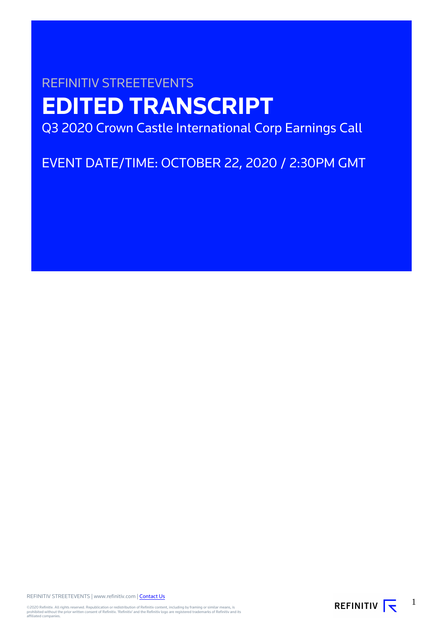# REFINITIV STREETEVENTS **EDITED TRANSCRIPT** Q3 2020 Crown Castle International Corp Earnings Call

EVENT DATE/TIME: OCTOBER 22, 2020 / 2:30PM GMT

REFINITIV STREETEVENTS | www.refinitiv.com | [Contact Us](https://www.refinitiv.com/en/contact-us)

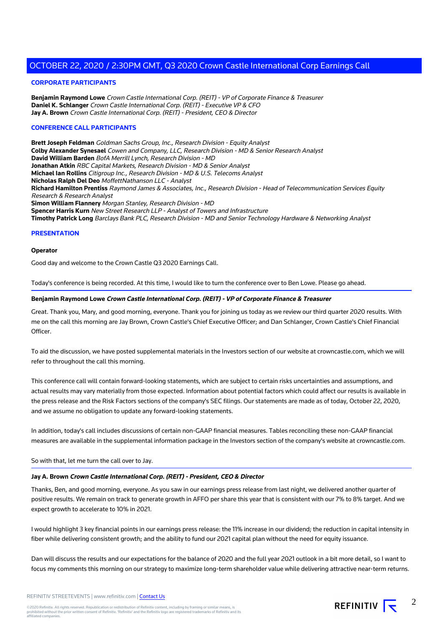## **CORPORATE PARTICIPANTS**

**Benjamin Raymond Lowe** Crown Castle International Corp. (REIT) - VP of Corporate Finance & Treasurer **Daniel K. Schlanger** Crown Castle International Corp. (REIT) - Executive VP & CFO **Jay A. Brown** Crown Castle International Corp. (REIT) - President, CEO & Director

## **CONFERENCE CALL PARTICIPANTS**

**Brett Joseph Feldman** Goldman Sachs Group, Inc., Research Division - Equity Analyst **Colby Alexander Synesael** Cowen and Company, LLC, Research Division - MD & Senior Research Analyst **David William Barden** BofA Merrill Lynch, Research Division - MD **Jonathan Atkin** RBC Capital Markets, Research Division - MD & Senior Analyst **Michael Ian Rollins** Citigroup Inc., Research Division - MD & U.S. Telecoms Analyst **Nicholas Ralph Del Deo** MoffettNathanson LLC - Analyst **Richard Hamilton Prentiss** Raymond James & Associates, Inc., Research Division - Head of Telecommunication Services Equity Research & Research Analyst **Simon William Flannery** Morgan Stanley, Research Division - MD **Spencer Harris Kurn** New Street Research LLP - Analyst of Towers and Infrastructure **Timothy Patrick Long** Barclays Bank PLC, Research Division - MD and Senior Technology Hardware & Networking Analyst

#### **PRESENTATION**

#### **Operator**

Good day and welcome to the Crown Castle Q3 2020 Earnings Call.

Today's conference is being recorded. At this time, I would like to turn the conference over to Ben Lowe. Please go ahead.

#### **Benjamin Raymond Lowe Crown Castle International Corp. (REIT) - VP of Corporate Finance & Treasurer**

Great. Thank you, Mary, and good morning, everyone. Thank you for joining us today as we review our third quarter 2020 results. With me on the call this morning are Jay Brown, Crown Castle's Chief Executive Officer; and Dan Schlanger, Crown Castle's Chief Financial Officer.

To aid the discussion, we have posted supplemental materials in the Investors section of our website at crowncastle.com, which we will refer to throughout the call this morning.

This conference call will contain forward-looking statements, which are subject to certain risks uncertainties and assumptions, and actual results may vary materially from those expected. Information about potential factors which could affect our results is available in the press release and the Risk Factors sections of the company's SEC filings. Our statements are made as of today, October 22, 2020, and we assume no obligation to update any forward-looking statements.

In addition, today's call includes discussions of certain non-GAAP financial measures. Tables reconciling these non-GAAP financial measures are available in the supplemental information package in the Investors section of the company's website at crowncastle.com.

So with that, let me turn the call over to Jay.

#### **Jay A. Brown Crown Castle International Corp. (REIT) - President, CEO & Director**

Thanks, Ben, and good morning, everyone. As you saw in our earnings press release from last night, we delivered another quarter of positive results. We remain on track to generate growth in AFFO per share this year that is consistent with our 7% to 8% target. And we expect growth to accelerate to 10% in 2021.

I would highlight 3 key financial points in our earnings press release: the 11% increase in our dividend; the reduction in capital intensity in fiber while delivering consistent growth; and the ability to fund our 2021 capital plan without the need for equity issuance.

Dan will discuss the results and our expectations for the balance of 2020 and the full year 2021 outlook in a bit more detail, so I want to focus my comments this morning on our strategy to maximize long-term shareholder value while delivering attractive near-term returns.

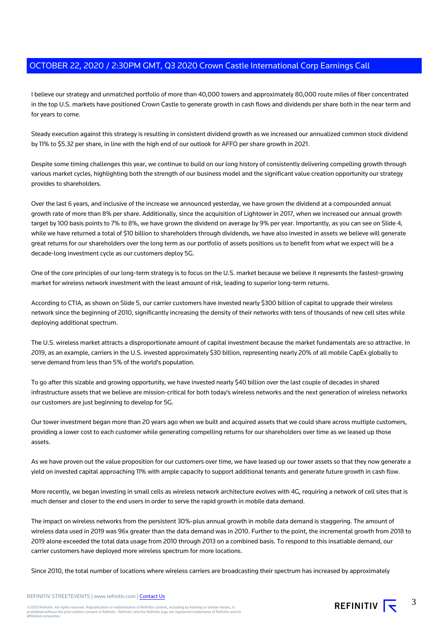I believe our strategy and unmatched portfolio of more than 40,000 towers and approximately 80,000 route miles of fiber concentrated in the top U.S. markets have positioned Crown Castle to generate growth in cash flows and dividends per share both in the near term and for years to come.

Steady execution against this strategy is resulting in consistent dividend growth as we increased our annualized common stock dividend by 11% to \$5.32 per share, in line with the high end of our outlook for AFFO per share growth in 2021.

Despite some timing challenges this year, we continue to build on our long history of consistently delivering compelling growth through various market cycles, highlighting both the strength of our business model and the significant value creation opportunity our strategy provides to shareholders.

Over the last 6 years, and inclusive of the increase we announced yesterday, we have grown the dividend at a compounded annual growth rate of more than 8% per share. Additionally, since the acquisition of Lightower in 2017, when we increased our annual growth target by 100 basis points to 7% to 8%, we have grown the dividend on average by 9% per year. Importantly, as you can see on Slide 4, while we have returned a total of \$10 billion to shareholders through dividends, we have also invested in assets we believe will generate great returns for our shareholders over the long term as our portfolio of assets positions us to benefit from what we expect will be a decade-long investment cycle as our customers deploy 5G.

One of the core principles of our long-term strategy is to focus on the U.S. market because we believe it represents the fastest-growing market for wireless network investment with the least amount of risk, leading to superior long-term returns.

According to CTIA, as shown on Slide 5, our carrier customers have invested nearly \$300 billion of capital to upgrade their wireless network since the beginning of 2010, significantly increasing the density of their networks with tens of thousands of new cell sites while deploying additional spectrum.

The U.S. wireless market attracts a disproportionate amount of capital investment because the market fundamentals are so attractive. In 2019, as an example, carriers in the U.S. invested approximately \$30 billion, representing nearly 20% of all mobile CapEx globally to serve demand from less than 5% of the world's population.

To go after this sizable and growing opportunity, we have invested nearly \$40 billion over the last couple of decades in shared infrastructure assets that we believe are mission-critical for both today's wireless networks and the next generation of wireless networks our customers are just beginning to develop for 5G.

Our tower investment began more than 20 years ago when we built and acquired assets that we could share across multiple customers, providing a lower cost to each customer while generating compelling returns for our shareholders over time as we leased up those assets.

As we have proven out the value proposition for our customers over time, we have leased up our tower assets so that they now generate a yield on invested capital approaching 11% with ample capacity to support additional tenants and generate future growth in cash flow.

More recently, we began investing in small cells as wireless network architecture evolves with 4G, requiring a network of cell sites that is much denser and closer to the end users in order to serve the rapid growth in mobile data demand.

The impact on wireless networks from the persistent 30%-plus annual growth in mobile data demand is staggering. The amount of wireless data used in 2019 was 96x greater than the data demand was in 2010. Further to the point, the incremental growth from 2018 to 2019 alone exceeded the total data usage from 2010 through 2013 on a combined basis. To respond to this insatiable demand, our carrier customers have deployed more wireless spectrum for more locations.

Since 2010, the total number of locations where wireless carriers are broadcasting their spectrum has increased by approximately

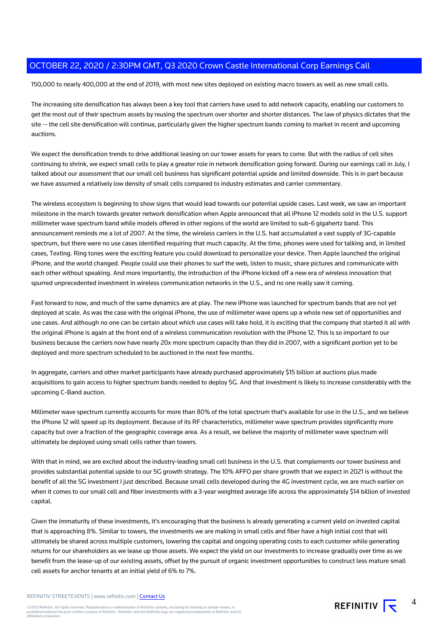150,000 to nearly 400,000 at the end of 2019, with most new sites deployed on existing macro towers as well as new small cells.

The increasing site densification has always been a key tool that carriers have used to add network capacity, enabling our customers to get the most out of their spectrum assets by reusing the spectrum over shorter and shorter distances. The law of physics dictates that the site -- the cell site densification will continue, particularly given the higher spectrum bands coming to market in recent and upcoming auctions.

We expect the densification trends to drive additional leasing on our tower assets for years to come. But with the radius of cell sites continuing to shrink, we expect small cells to play a greater role in network densification going forward. During our earnings call in July, I talked about our assessment that our small cell business has significant potential upside and limited downside. This is in part because we have assumed a relatively low density of small cells compared to industry estimates and carrier commentary.

The wireless ecosystem is beginning to show signs that would lead towards our potential upside cases. Last week, we saw an important milestone in the march towards greater network densification when Apple announced that all iPhone 12 models sold in the U.S. support millimeter wave spectrum band while models offered in other regions of the world are limited to sub-6 gigahertz band. This announcement reminds me a lot of 2007. At the time, the wireless carriers in the U.S. had accumulated a vast supply of 3G-capable spectrum, but there were no use cases identified requiring that much capacity. At the time, phones were used for talking and, in limited cases, Texting. Ring tones were the exciting feature you could download to personalize your device. Then Apple launched the original iPhone, and the world changed. People could use their phones to surf the web, listen to music, share pictures and communicate with each other without speaking. And more importantly, the introduction of the iPhone kicked off a new era of wireless innovation that spurred unprecedented investment in wireless communication networks in the U.S., and no one really saw it coming.

Fast forward to now, and much of the same dynamics are at play. The new iPhone was launched for spectrum bands that are not yet deployed at scale. As was the case with the original iPhone, the use of millimeter wave opens up a whole new set of opportunities and use cases. And although no one can be certain about which use cases will take hold, it is exciting that the company that started it all with the original iPhone is again at the front end of a wireless communication revolution with the iPhone 12. This is so important to our business because the carriers now have nearly 20x more spectrum capacity than they did in 2007, with a significant portion yet to be deployed and more spectrum scheduled to be auctioned in the next few months.

In aggregate, carriers and other market participants have already purchased approximately \$15 billion at auctions plus made acquisitions to gain access to higher spectrum bands needed to deploy 5G. And that investment is likely to increase considerably with the upcoming C-Band auction.

Millimeter wave spectrum currently accounts for more than 80% of the total spectrum that's available for use in the U.S., and we believe the iPhone 12 will speed up its deployment. Because of its RF characteristics, millimeter wave spectrum provides significantly more capacity but over a fraction of the geographic coverage area. As a result, we believe the majority of millimeter wave spectrum will ultimately be deployed using small cells rather than towers.

With that in mind, we are excited about the industry-leading small cell business in the U.S. that complements our tower business and provides substantial potential upside to our 5G growth strategy. The 10% AFFO per share growth that we expect in 2021 is without the benefit of all the 5G investment I just described. Because small cells developed during the 4G investment cycle, we are much earlier on when it comes to our small cell and fiber investments with a 3-year weighted average life across the approximately \$14 billion of invested capital.

Given the immaturity of these investments, it's encouraging that the business is already generating a current yield on invested capital that is approaching 8%. Similar to towers, the investments we are making in small cells and fiber have a high initial cost that will ultimately be shared across multiple customers, lowering the capital and ongoing operating costs to each customer while generating returns for our shareholders as we lease up those assets. We expect the yield on our investments to increase gradually over time as we benefit from the lease-up of our existing assets, offset by the pursuit of organic investment opportunities to construct less mature small cell assets for anchor tenants at an initial yield of 6% to 7%.

REFINITIV STREETEVENTS | www.refinitiv.com | [Contact Us](https://www.refinitiv.com/en/contact-us)

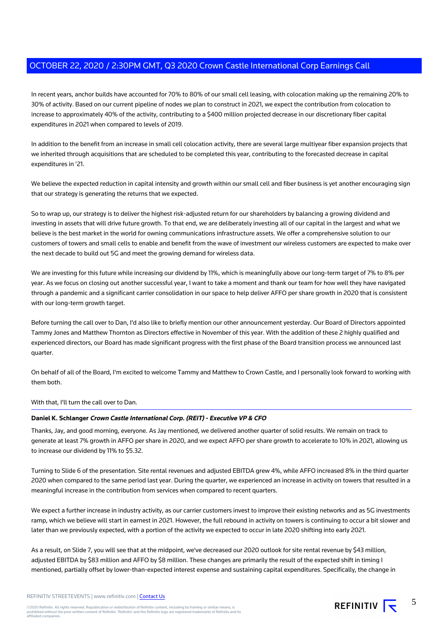In recent years, anchor builds have accounted for 70% to 80% of our small cell leasing, with colocation making up the remaining 20% to 30% of activity. Based on our current pipeline of nodes we plan to construct in 2021, we expect the contribution from colocation to increase to approximately 40% of the activity, contributing to a \$400 million projected decrease in our discretionary fiber capital expenditures in 2021 when compared to levels of 2019.

In addition to the benefit from an increase in small cell colocation activity, there are several large multiyear fiber expansion projects that we inherited through acquisitions that are scheduled to be completed this year, contributing to the forecasted decrease in capital expenditures in '21.

We believe the expected reduction in capital intensity and growth within our small cell and fiber business is yet another encouraging sign that our strategy is generating the returns that we expected.

So to wrap up, our strategy is to deliver the highest risk-adjusted return for our shareholders by balancing a growing dividend and investing in assets that will drive future growth. To that end, we are deliberately investing all of our capital in the largest and what we believe is the best market in the world for owning communications infrastructure assets. We offer a comprehensive solution to our customers of towers and small cells to enable and benefit from the wave of investment our wireless customers are expected to make over the next decade to build out 5G and meet the growing demand for wireless data.

We are investing for this future while increasing our dividend by 11%, which is meaningfully above our long-term target of 7% to 8% per year. As we focus on closing out another successful year, I want to take a moment and thank our team for how well they have navigated through a pandemic and a significant carrier consolidation in our space to help deliver AFFO per share growth in 2020 that is consistent with our long-term growth target.

Before turning the call over to Dan, I'd also like to briefly mention our other announcement yesterday. Our Board of Directors appointed Tammy Jones and Matthew Thornton as Directors effective in November of this year. With the addition of these 2 highly qualified and experienced directors, our Board has made significant progress with the first phase of the Board transition process we announced last quarter.

On behalf of all of the Board, I'm excited to welcome Tammy and Matthew to Crown Castle, and I personally look forward to working with them both.

With that, I'll turn the call over to Dan.

# **Daniel K. Schlanger Crown Castle International Corp. (REIT) - Executive VP & CFO**

Thanks, Jay, and good morning, everyone. As Jay mentioned, we delivered another quarter of solid results. We remain on track to generate at least 7% growth in AFFO per share in 2020, and we expect AFFO per share growth to accelerate to 10% in 2021, allowing us to increase our dividend by 11% to \$5.32.

Turning to Slide 6 of the presentation. Site rental revenues and adjusted EBITDA grew 4%, while AFFO increased 8% in the third quarter 2020 when compared to the same period last year. During the quarter, we experienced an increase in activity on towers that resulted in a meaningful increase in the contribution from services when compared to recent quarters.

We expect a further increase in industry activity, as our carrier customers invest to improve their existing networks and as 5G investments ramp, which we believe will start in earnest in 2021. However, the full rebound in activity on towers is continuing to occur a bit slower and later than we previously expected, with a portion of the activity we expected to occur in late 2020 shifting into early 2021.

As a result, on Slide 7, you will see that at the midpoint, we've decreased our 2020 outlook for site rental revenue by \$43 million, adjusted EBITDA by \$83 million and AFFO by \$8 million. These changes are primarily the result of the expected shift in timing I mentioned, partially offset by lower-than-expected interest expense and sustaining capital expenditures. Specifically, the change in

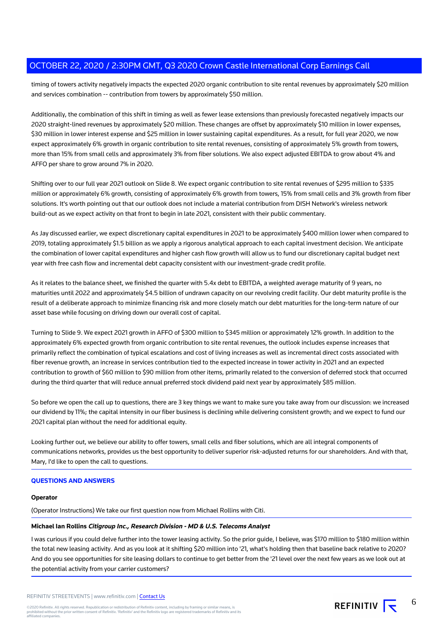timing of towers activity negatively impacts the expected 2020 organic contribution to site rental revenues by approximately \$20 million and services combination -- contribution from towers by approximately \$50 million.

Additionally, the combination of this shift in timing as well as fewer lease extensions than previously forecasted negatively impacts our 2020 straight-lined revenues by approximately \$20 million. These changes are offset by approximately \$10 million in lower expenses, \$30 million in lower interest expense and \$25 million in lower sustaining capital expenditures. As a result, for full year 2020, we now expect approximately 6% growth in organic contribution to site rental revenues, consisting of approximately 5% growth from towers, more than 15% from small cells and approximately 3% from fiber solutions. We also expect adjusted EBITDA to grow about 4% and AFFO per share to grow around 7% in 2020.

Shifting over to our full year 2021 outlook on Slide 8. We expect organic contribution to site rental revenues of \$295 million to \$335 million or approximately 6% growth, consisting of approximately 6% growth from towers, 15% from small cells and 3% growth from fiber solutions. It's worth pointing out that our outlook does not include a material contribution from DISH Network's wireless network build-out as we expect activity on that front to begin in late 2021, consistent with their public commentary.

As Jay discussed earlier, we expect discretionary capital expenditures in 2021 to be approximately \$400 million lower when compared to 2019, totaling approximately \$1.5 billion as we apply a rigorous analytical approach to each capital investment decision. We anticipate the combination of lower capital expenditures and higher cash flow growth will allow us to fund our discretionary capital budget next year with free cash flow and incremental debt capacity consistent with our investment-grade credit profile.

As it relates to the balance sheet, we finished the quarter with 5.4x debt to EBITDA, a weighted average maturity of 9 years, no maturities until 2022 and approximately \$4.5 billion of undrawn capacity on our revolving credit facility. Our debt maturity profile is the result of a deliberate approach to minimize financing risk and more closely match our debt maturities for the long-term nature of our asset base while focusing on driving down our overall cost of capital.

Turning to Slide 9. We expect 2021 growth in AFFO of \$300 million to \$345 million or approximately 12% growth. In addition to the approximately 6% expected growth from organic contribution to site rental revenues, the outlook includes expense increases that primarily reflect the combination of typical escalations and cost of living increases as well as incremental direct costs associated with fiber revenue growth, an increase in services contribution tied to the expected increase in tower activity in 2021 and an expected contribution to growth of \$60 million to \$90 million from other items, primarily related to the conversion of deferred stock that occurred during the third quarter that will reduce annual preferred stock dividend paid next year by approximately \$85 million.

So before we open the call up to questions, there are 3 key things we want to make sure you take away from our discussion: we increased our dividend by 11%; the capital intensity in our fiber business is declining while delivering consistent growth; and we expect to fund our 2021 capital plan without the need for additional equity.

Looking further out, we believe our ability to offer towers, small cells and fiber solutions, which are all integral components of communications networks, provides us the best opportunity to deliver superior risk-adjusted returns for our shareholders. And with that, Mary, I'd like to open the call to questions.

# **QUESTIONS AND ANSWERS**

#### **Operator**

(Operator Instructions) We take our first question now from Michael Rollins with Citi.

# **Michael Ian Rollins Citigroup Inc., Research Division - MD & U.S. Telecoms Analyst**

I was curious if you could delve further into the tower leasing activity. So the prior guide, I believe, was \$170 million to \$180 million within the total new leasing activity. And as you look at it shifting \$20 million into '21, what's holding then that baseline back relative to 2020? And do you see opportunities for site leasing dollars to continue to get better from the '21 level over the next few years as we look out at the potential activity from your carrier customers?

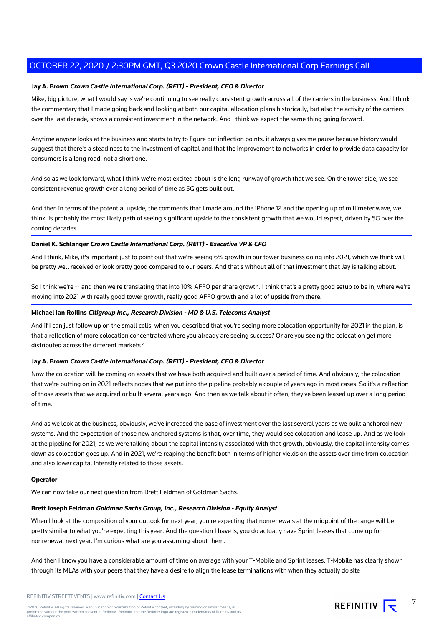## **Jay A. Brown Crown Castle International Corp. (REIT) - President, CEO & Director**

Mike, big picture, what I would say is we're continuing to see really consistent growth across all of the carriers in the business. And I think the commentary that I made going back and looking at both our capital allocation plans historically, but also the activity of the carriers over the last decade, shows a consistent investment in the network. And I think we expect the same thing going forward.

Anytime anyone looks at the business and starts to try to figure out inflection points, it always gives me pause because history would suggest that there's a steadiness to the investment of capital and that the improvement to networks in order to provide data capacity for consumers is a long road, not a short one.

And so as we look forward, what I think we're most excited about is the long runway of growth that we see. On the tower side, we see consistent revenue growth over a long period of time as 5G gets built out.

And then in terms of the potential upside, the comments that I made around the iPhone 12 and the opening up of millimeter wave, we think, is probably the most likely path of seeing significant upside to the consistent growth that we would expect, driven by 5G over the coming decades.

# **Daniel K. Schlanger Crown Castle International Corp. (REIT) - Executive VP & CFO**

And I think, Mike, it's important just to point out that we're seeing 6% growth in our tower business going into 2021, which we think will be pretty well received or look pretty good compared to our peers. And that's without all of that investment that Jay is talking about.

So I think we're -- and then we're translating that into 10% AFFO per share growth. I think that's a pretty good setup to be in, where we're moving into 2021 with really good tower growth, really good AFFO growth and a lot of upside from there.

## **Michael Ian Rollins Citigroup Inc., Research Division - MD & U.S. Telecoms Analyst**

And if I can just follow up on the small cells, when you described that you're seeing more colocation opportunity for 2021 in the plan, is that a reflection of more colocation concentrated where you already are seeing success? Or are you seeing the colocation get more distributed across the different markets?

## **Jay A. Brown Crown Castle International Corp. (REIT) - President, CEO & Director**

Now the colocation will be coming on assets that we have both acquired and built over a period of time. And obviously, the colocation that we're putting on in 2021 reflects nodes that we put into the pipeline probably a couple of years ago in most cases. So it's a reflection of those assets that we acquired or built several years ago. And then as we talk about it often, they've been leased up over a long period of time.

And as we look at the business, obviously, we've increased the base of investment over the last several years as we built anchored new systems. And the expectation of those new anchored systems is that, over time, they would see colocation and lease up. And as we look at the pipeline for 2021, as we were talking about the capital intensity associated with that growth, obviously, the capital intensity comes down as colocation goes up. And in 2021, we're reaping the benefit both in terms of higher yields on the assets over time from colocation and also lower capital intensity related to those assets.

#### **Operator**

We can now take our next question from Brett Feldman of Goldman Sachs.

#### **Brett Joseph Feldman Goldman Sachs Group, Inc., Research Division - Equity Analyst**

When I look at the composition of your outlook for next year, you're expecting that nonrenewals at the midpoint of the range will be pretty similar to what you're expecting this year. And the question I have is, you do actually have Sprint leases that come up for nonrenewal next year. I'm curious what are you assuming about them.

And then I know you have a considerable amount of time on average with your T-Mobile and Sprint leases. T-Mobile has clearly shown through its MLAs with your peers that they have a desire to align the lease terminations with when they actually do site

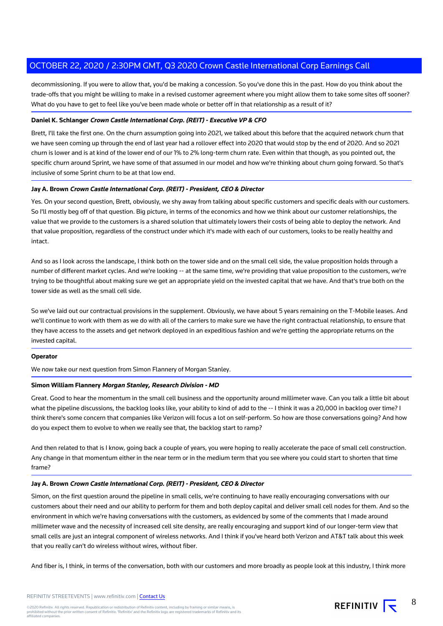decommissioning. If you were to allow that, you'd be making a concession. So you've done this in the past. How do you think about the trade-offs that you might be willing to make in a revised customer agreement where you might allow them to take some sites off sooner? What do you have to get to feel like you've been made whole or better off in that relationship as a result of it?

# **Daniel K. Schlanger Crown Castle International Corp. (REIT) - Executive VP & CFO**

Brett, I'll take the first one. On the churn assumption going into 2021, we talked about this before that the acquired network churn that we have seen coming up through the end of last year had a rollover effect into 2020 that would stop by the end of 2020. And so 2021 churn is lower and is at kind of the lower end of our 1% to 2% long-term churn rate. Even within that though, as you pointed out, the specific churn around Sprint, we have some of that assumed in our model and how we're thinking about churn going forward. So that's inclusive of some Sprint churn to be at that low end.

## **Jay A. Brown Crown Castle International Corp. (REIT) - President, CEO & Director**

Yes. On your second question, Brett, obviously, we shy away from talking about specific customers and specific deals with our customers. So I'll mostly beg off of that question. Big picture, in terms of the economics and how we think about our customer relationships, the value that we provide to the customers is a shared solution that ultimately lowers their costs of being able to deploy the network. And that value proposition, regardless of the construct under which it's made with each of our customers, looks to be really healthy and intact.

And so as I look across the landscape, I think both on the tower side and on the small cell side, the value proposition holds through a number of different market cycles. And we're looking -- at the same time, we're providing that value proposition to the customers, we're trying to be thoughtful about making sure we get an appropriate yield on the invested capital that we have. And that's true both on the tower side as well as the small cell side.

So we've laid out our contractual provisions in the supplement. Obviously, we have about 5 years remaining on the T-Mobile leases. And we'll continue to work with them as we do with all of the carriers to make sure we have the right contractual relationship, to ensure that they have access to the assets and get network deployed in an expeditious fashion and we're getting the appropriate returns on the invested capital.

## **Operator**

We now take our next question from Simon Flannery of Morgan Stanley.

## **Simon William Flannery Morgan Stanley, Research Division - MD**

Great. Good to hear the momentum in the small cell business and the opportunity around millimeter wave. Can you talk a little bit about what the pipeline discussions, the backlog looks like, your ability to kind of add to the -- I think it was a 20,000 in backlog over time? I think there's some concern that companies like Verizon will focus a lot on self-perform. So how are those conversations going? And how do you expect them to evolve to when we really see that, the backlog start to ramp?

And then related to that is I know, going back a couple of years, you were hoping to really accelerate the pace of small cell construction. Any change in that momentum either in the near term or in the medium term that you see where you could start to shorten that time frame?

#### **Jay A. Brown Crown Castle International Corp. (REIT) - President, CEO & Director**

Simon, on the first question around the pipeline in small cells, we're continuing to have really encouraging conversations with our customers about their need and our ability to perform for them and both deploy capital and deliver small cell nodes for them. And so the environment in which we're having conversations with the customers, as evidenced by some of the comments that I made around millimeter wave and the necessity of increased cell site density, are really encouraging and support kind of our longer-term view that small cells are just an integral component of wireless networks. And I think if you've heard both Verizon and AT&T talk about this week that you really can't do wireless without wires, without fiber.

And fiber is, I think, in terms of the conversation, both with our customers and more broadly as people look at this industry, I think more

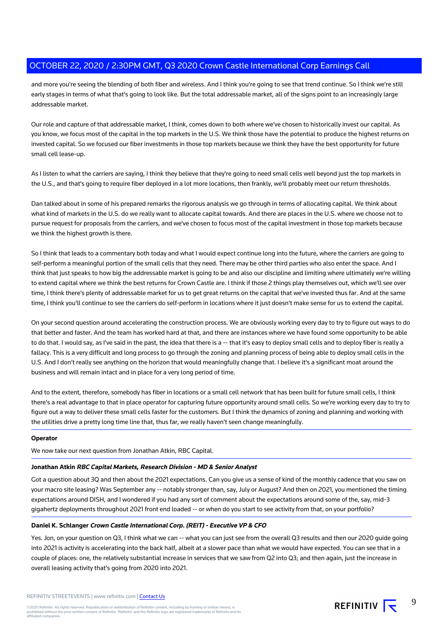and more you're seeing the blending of both fiber and wireless. And I think you're going to see that trend continue. So I think we're still early stages in terms of what that's going to look like. But the total addressable market, all of the signs point to an increasingly large addressable market.

Our role and capture of that addressable market, I think, comes down to both where we've chosen to historically invest our capital. As you know, we focus most of the capital in the top markets in the U.S. We think those have the potential to produce the highest returns on invested capital. So we focused our fiber investments in those top markets because we think they have the best opportunity for future small cell lease-up.

As I listen to what the carriers are saying, I think they believe that they're going to need small cells well beyond just the top markets in the U.S., and that's going to require fiber deployed in a lot more locations, then frankly, we'll probably meet our return thresholds.

Dan talked about in some of his prepared remarks the rigorous analysis we go through in terms of allocating capital. We think about what kind of markets in the U.S. do we really want to allocate capital towards. And there are places in the U.S. where we choose not to pursue request for proposals from the carriers, and we've chosen to focus most of the capital investment in those top markets because we think the highest growth is there.

So I think that leads to a commentary both today and what I would expect continue long into the future, where the carriers are going to self-perform a meaningful portion of the small cells that they need. There may be other third parties who also enter the space. And I think that just speaks to how big the addressable market is going to be and also our discipline and limiting where ultimately we're willing to extend capital where we think the best returns for Crown Castle are. I think if those 2 things play themselves out, which we'll see over time, I think there's plenty of addressable market for us to get great returns on the capital that we've invested thus far. And at the same time, I think you'll continue to see the carriers do self-perform in locations where it just doesn't make sense for us to extend the capital.

On your second question around accelerating the construction process. We are obviously working every day to try to figure out ways to do that better and faster. And the team has worked hard at that, and there are instances where we have found some opportunity to be able to do that. I would say, as I've said in the past, the idea that there is a -- that it's easy to deploy small cells and to deploy fiber is really a fallacy. This is a very difficult and long process to go through the zoning and planning process of being able to deploy small cells in the U.S. And I don't really see anything on the horizon that would meaningfully change that. I believe it's a significant moat around the business and will remain intact and in place for a very long period of time.

And to the extent, therefore, somebody has fiber in locations or a small cell network that has been built for future small cells, I think there's a real advantage to that in place operator for capturing future opportunity around small cells. So we're working every day to try to figure out a way to deliver these small cells faster for the customers. But I think the dynamics of zoning and planning and working with the utilities drive a pretty long time line that, thus far, we really haven't seen change meaningfully.

#### **Operator**

We now take our next question from Jonathan Atkin, RBC Capital.

# **Jonathan Atkin RBC Capital Markets, Research Division - MD & Senior Analyst**

Got a question about 3Q and then about the 2021 expectations. Can you give us a sense of kind of the monthly cadence that you saw on your macro site leasing? Was September any -- notably stronger than, say, July or August? And then on 2021, you mentioned the timing expectations around DISH, and I wondered if you had any sort of comment about the expectations around some of the, say, mid-3 gigahertz deployments throughout 2021 front end loaded -- or when do you start to see activity from that, on your portfolio?

# **Daniel K. Schlanger Crown Castle International Corp. (REIT) - Executive VP & CFO**

Yes. Jon, on your question on Q3, I think what we can -- what you can just see from the overall Q3 results and then our 2020 guide going into 2021 is activity is accelerating into the back half, albeit at a slower pace than what we would have expected. You can see that in a couple of places: one, the relatively substantial increase in services that we saw from Q2 into Q3; and then again, just the increase in overall leasing activity that's going from 2020 into 2021.

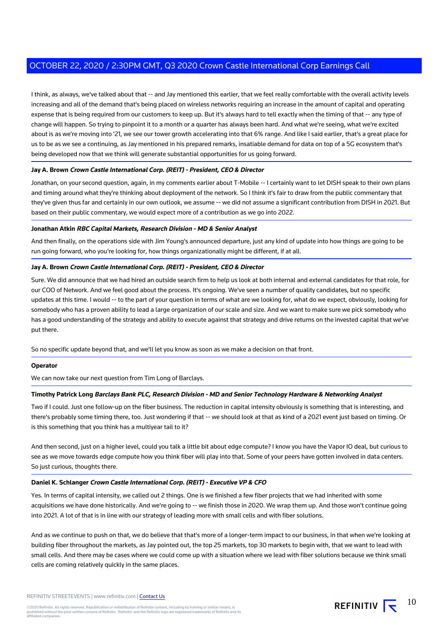I think, as always, we've talked about that -- and Jay mentioned this earlier, that we feel really comfortable with the overall activity levels increasing and all of the demand that's being placed on wireless networks requiring an increase in the amount of capital and operating expense that is being required from our customers to keep up. But it's always hard to tell exactly when the timing of that -- any type of change will happen. So trying to pinpoint it to a month or a quarter has always been hard. And what we're seeing, what we're excited about is as we're moving into '21, we see our tower growth accelerating into that 6% range. And like I said earlier, that's a great place for us to be as we see a continuing, as Jay mentioned in his prepared remarks, insatiable demand for data on top of a 5G ecosystem that's being developed now that we think will generate substantial opportunities for us going forward.

## **Jay A. Brown Crown Castle International Corp. (REIT) - President, CEO & Director**

Jonathan, on your second question, again, in my comments earlier about T-Mobile -- I certainly want to let DISH speak to their own plans and timing around what they're thinking about deployment of the network. So I think it's fair to draw from the public commentary that they've given thus far and certainly in our own outlook, we assume -- we did not assume a significant contribution from DISH in 2021. But based on their public commentary, we would expect more of a contribution as we go into 2022.

#### **Jonathan Atkin RBC Capital Markets, Research Division - MD & Senior Analyst**

And then finally, on the operations side with Jim Young's announced departure, just any kind of update into how things are going to be run going forward, who you're looking for, how things organizationally might be different, if at all.

## **Jay A. Brown Crown Castle International Corp. (REIT) - President, CEO & Director**

Sure. We did announce that we had hired an outside search firm to help us look at both internal and external candidates for that role, for our COO of Network. And we feel good about the process. It's ongoing. We've seen a number of quality candidates, but no specific updates at this time. I would -- to the part of your question in terms of what are we looking for, what do we expect, obviously, looking for somebody who has a proven ability to lead a large organization of our scale and size. And we want to make sure we pick somebody who has a good understanding of the strategy and ability to execute against that strategy and drive returns on the invested capital that we've put there.

So no specific update beyond that, and we'll let you know as soon as we make a decision on that front.

#### **Operator**

We can now take our next question from Tim Long of Barclays.

#### **Timothy Patrick Long Barclays Bank PLC, Research Division - MD and Senior Technology Hardware & Networking Analyst**

Two if I could. Just one follow-up on the fiber business. The reduction in capital intensity obviously is something that is interesting, and there's probably some timing there, too. Just wondering if that -- we should look at that as kind of a 2021 event just based on timing. Or is this something that you think has a multiyear tail to it?

And then second, just on a higher level, could you talk a little bit about edge compute? I know you have the Vapor IO deal, but curious to see as we move towards edge compute how you think fiber will play into that. Some of your peers have gotten involved in data centers. So just curious, thoughts there.

#### **Daniel K. Schlanger Crown Castle International Corp. (REIT) - Executive VP & CFO**

Yes. In terms of capital intensity, we called out 2 things. One is we finished a few fiber projects that we had inherited with some acquisitions we have done historically. And we're going to -- we finish those in 2020. We wrap them up. And those won't continue going into 2021. A lot of that is in line with our strategy of leading more with small cells and with fiber solutions.

And as we continue to push on that, we do believe that that's more of a longer-term impact to our business, in that when we're looking at building fiber throughout the markets, as Jay pointed out, the top 25 markets, top 30 markets to begin with, that we want to lead with small cells. And there may be cases where we could come up with a situation where we lead with fiber solutions because we think small cells are coming relatively quickly in the same places.

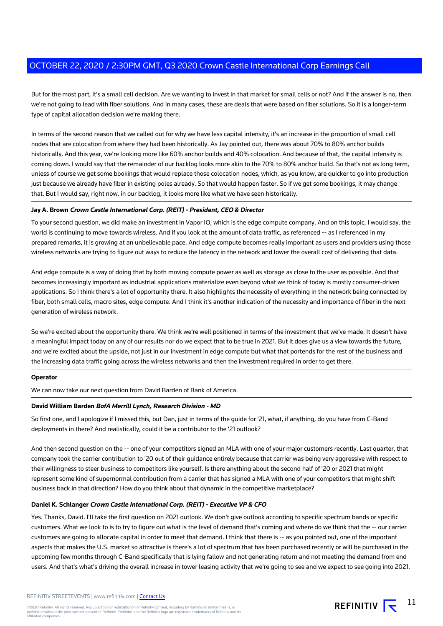But for the most part, it's a small cell decision. Are we wanting to invest in that market for small cells or not? And if the answer is no, then we're not going to lead with fiber solutions. And in many cases, these are deals that were based on fiber solutions. So it is a longer-term type of capital allocation decision we're making there.

In terms of the second reason that we called out for why we have less capital intensity, it's an increase in the proportion of small cell nodes that are colocation from where they had been historically. As Jay pointed out, there was about 70% to 80% anchor builds historically. And this year, we're looking more like 60% anchor builds and 40% colocation. And because of that, the capital intensity is coming down. I would say that the remainder of our backlog looks more akin to the 70% to 80% anchor build. So that's not as long term, unless of course we get some bookings that would replace those colocation nodes, which, as you know, are quicker to go into production just because we already have fiber in existing poles already. So that would happen faster. So if we get some bookings, it may change that. But I would say, right now, in our backlog, it looks more like what we have seen historically.

## **Jay A. Brown Crown Castle International Corp. (REIT) - President, CEO & Director**

To your second question, we did make an investment in Vapor IO, which is the edge compute company. And on this topic, I would say, the world is continuing to move towards wireless. And if you look at the amount of data traffic, as referenced -- as I referenced in my prepared remarks, it is growing at an unbelievable pace. And edge compute becomes really important as users and providers using those wireless networks are trying to figure out ways to reduce the latency in the network and lower the overall cost of delivering that data.

And edge compute is a way of doing that by both moving compute power as well as storage as close to the user as possible. And that becomes increasingly important as industrial applications materialize even beyond what we think of today is mostly consumer-driven applications. So I think there's a lot of opportunity there. It also highlights the necessity of everything in the network being connected by fiber, both small cells, macro sites, edge compute. And I think it's another indication of the necessity and importance of fiber in the next generation of wireless network.

So we're excited about the opportunity there. We think we're well positioned in terms of the investment that we've made. It doesn't have a meaningful impact today on any of our results nor do we expect that to be true in 2021. But it does give us a view towards the future, and we're excited about the upside, not just in our investment in edge compute but what that portends for the rest of the business and the increasing data traffic going across the wireless networks and then the investment required in order to get there.

#### **Operator**

We can now take our next question from David Barden of Bank of America.

#### **David William Barden BofA Merrill Lynch, Research Division - MD**

So first one, and I apologize if I missed this, but Dan, just in terms of the guide for '21, what, if anything, do you have from C-Band deployments in there? And realistically, could it be a contributor to the '21 outlook?

And then second question on the -- one of your competitors signed an MLA with one of your major customers recently. Last quarter, that company took the carrier contribution to '20 out of their guidance entirely because that carrier was being very aggressive with respect to their willingness to steer business to competitors like yourself. Is there anything about the second half of '20 or 2021 that might represent some kind of supernormal contribution from a carrier that has signed a MLA with one of your competitors that might shift business back in that direction? How do you think about that dynamic in the competitive marketplace?

# **Daniel K. Schlanger Crown Castle International Corp. (REIT) - Executive VP & CFO**

Yes. Thanks, David. I'll take the first question on 2021 outlook. We don't give outlook according to specific spectrum bands or specific customers. What we look to is to try to figure out what is the level of demand that's coming and where do we think that the -- our carrier customers are going to allocate capital in order to meet that demand. I think that there is -- as you pointed out, one of the important aspects that makes the U.S. market so attractive is there's a lot of spectrum that has been purchased recently or will be purchased in the upcoming few months through C-Band specifically that is lying fallow and not generating return and not meeting the demand from end users. And that's what's driving the overall increase in tower leasing activity that we're going to see and we expect to see going into 2021.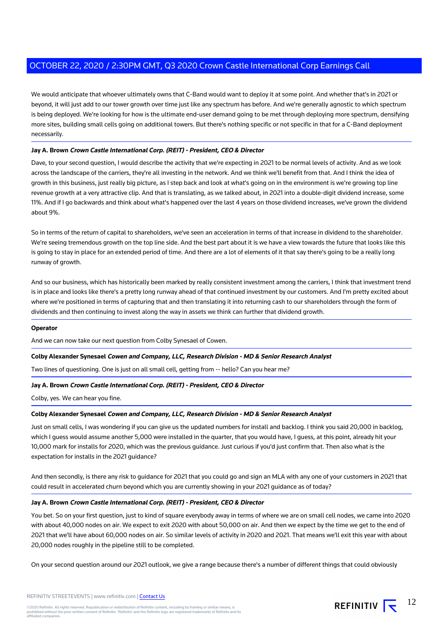We would anticipate that whoever ultimately owns that C-Band would want to deploy it at some point. And whether that's in 2021 or beyond, it will just add to our tower growth over time just like any spectrum has before. And we're generally agnostic to which spectrum is being deployed. We're looking for how is the ultimate end-user demand going to be met through deploying more spectrum, densifying more sites, building small cells going on additional towers. But there's nothing specific or not specific in that for a C-Band deployment necessarily.

# **Jay A. Brown Crown Castle International Corp. (REIT) - President, CEO & Director**

Dave, to your second question, I would describe the activity that we're expecting in 2021 to be normal levels of activity. And as we look across the landscape of the carriers, they're all investing in the network. And we think we'll benefit from that. And I think the idea of growth in this business, just really big picture, as I step back and look at what's going on in the environment is we're growing top line revenue growth at a very attractive clip. And that is translating, as we talked about, in 2021 into a double-digit dividend increase, some 11%. And if I go backwards and think about what's happened over the last 4 years on those dividend increases, we've grown the dividend about 9%.

So in terms of the return of capital to shareholders, we've seen an acceleration in terms of that increase in dividend to the shareholder. We're seeing tremendous growth on the top line side. And the best part about it is we have a view towards the future that looks like this is going to stay in place for an extended period of time. And there are a lot of elements of it that say there's going to be a really long runway of growth.

And so our business, which has historically been marked by really consistent investment among the carriers, I think that investment trend is in place and looks like there's a pretty long runway ahead of that continued investment by our customers. And I'm pretty excited about where we're positioned in terms of capturing that and then translating it into returning cash to our shareholders through the form of dividends and then continuing to invest along the way in assets we think can further that dividend growth.

#### **Operator**

And we can now take our next question from Colby Synesael of Cowen.

# **Colby Alexander Synesael Cowen and Company, LLC, Research Division - MD & Senior Research Analyst**

Two lines of questioning. One is just on all small cell, getting from -- hello? Can you hear me?

# **Jay A. Brown Crown Castle International Corp. (REIT) - President, CEO & Director**

Colby, yes. We can hear you fine.

# **Colby Alexander Synesael Cowen and Company, LLC, Research Division - MD & Senior Research Analyst**

Just on small cells, I was wondering if you can give us the updated numbers for install and backlog. I think you said 20,000 in backlog, which I guess would assume another 5,000 were installed in the quarter, that you would have, I guess, at this point, already hit your 10,000 mark for installs for 2020, which was the previous guidance. Just curious if you'd just confirm that. Then also what is the expectation for installs in the 2021 guidance?

And then secondly, is there any risk to guidance for 2021 that you could go and sign an MLA with any one of your customers in 2021 that could result in accelerated churn beyond which you are currently showing in your 2021 guidance as of today?

# **Jay A. Brown Crown Castle International Corp. (REIT) - President, CEO & Director**

You bet. So on your first question, just to kind of square everybody away in terms of where we are on small cell nodes, we came into 2020 with about 40,000 nodes on air. We expect to exit 2020 with about 50,000 on air. And then we expect by the time we get to the end of 2021 that we'll have about 60,000 nodes on air. So similar levels of activity in 2020 and 2021. That means we'll exit this year with about 20,000 nodes roughly in the pipeline still to be completed.

On your second question around our 2021 outlook, we give a range because there's a number of different things that could obviously

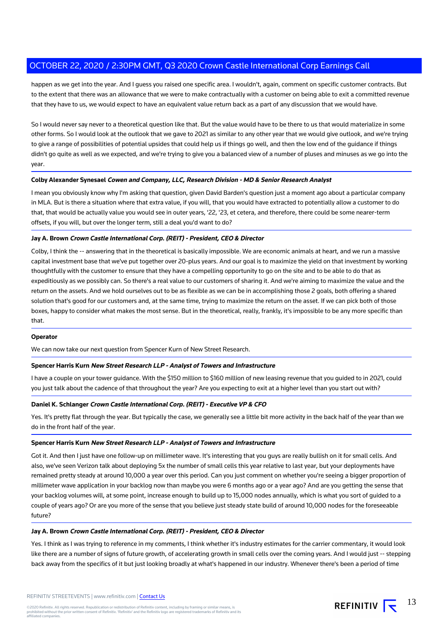happen as we get into the year. And I guess you raised one specific area. I wouldn't, again, comment on specific customer contracts. But to the extent that there was an allowance that we were to make contractually with a customer on being able to exit a committed revenue that they have to us, we would expect to have an equivalent value return back as a part of any discussion that we would have.

So I would never say never to a theoretical question like that. But the value would have to be there to us that would materialize in some other forms. So I would look at the outlook that we gave to 2021 as similar to any other year that we would give outlook, and we're trying to give a range of possibilities of potential upsides that could help us if things go well, and then the low end of the guidance if things didn't go quite as well as we expected, and we're trying to give you a balanced view of a number of pluses and minuses as we go into the year.

# **Colby Alexander Synesael Cowen and Company, LLC, Research Division - MD & Senior Research Analyst**

I mean you obviously know why I'm asking that question, given David Barden's question just a moment ago about a particular company in MLA. But is there a situation where that extra value, if you will, that you would have extracted to potentially allow a customer to do that, that would be actually value you would see in outer years, '22, '23, et cetera, and therefore, there could be some nearer-term offsets, if you will, but over the longer term, still a deal you'd want to do?

## **Jay A. Brown Crown Castle International Corp. (REIT) - President, CEO & Director**

Colby, I think the -- answering that in the theoretical is basically impossible. We are economic animals at heart, and we run a massive capital investment base that we've put together over 20-plus years. And our goal is to maximize the yield on that investment by working thoughtfully with the customer to ensure that they have a compelling opportunity to go on the site and to be able to do that as expeditiously as we possibly can. So there's a real value to our customers of sharing it. And we're aiming to maximize the value and the return on the assets. And we hold ourselves out to be as flexible as we can be in accomplishing those 2 goals, both offering a shared solution that's good for our customers and, at the same time, trying to maximize the return on the asset. If we can pick both of those boxes, happy to consider what makes the most sense. But in the theoretical, really, frankly, it's impossible to be any more specific than that.

#### **Operator**

We can now take our next question from Spencer Kurn of New Street Research.

#### **Spencer Harris Kurn New Street Research LLP - Analyst of Towers and Infrastructure**

I have a couple on your tower guidance. With the \$150 million to \$160 million of new leasing revenue that you guided to in 2021, could you just talk about the cadence of that throughout the year? Are you expecting to exit at a higher level than you start out with?

#### **Daniel K. Schlanger Crown Castle International Corp. (REIT) - Executive VP & CFO**

Yes. It's pretty flat through the year. But typically the case, we generally see a little bit more activity in the back half of the year than we do in the front half of the year.

## **Spencer Harris Kurn New Street Research LLP - Analyst of Towers and Infrastructure**

Got it. And then I just have one follow-up on millimeter wave. It's interesting that you guys are really bullish on it for small cells. And also, we've seen Verizon talk about deploying 5x the number of small cells this year relative to last year, but your deployments have remained pretty steady at around 10,000 a year over this period. Can you just comment on whether you're seeing a bigger proportion of millimeter wave application in your backlog now than maybe you were 6 months ago or a year ago? And are you getting the sense that your backlog volumes will, at some point, increase enough to build up to 15,000 nodes annually, which is what you sort of guided to a couple of years ago? Or are you more of the sense that you believe just steady state build of around 10,000 nodes for the foreseeable future?

#### **Jay A. Brown Crown Castle International Corp. (REIT) - President, CEO & Director**

Yes. I think as I was trying to reference in my comments, I think whether it's industry estimates for the carrier commentary, it would look like there are a number of signs of future growth, of accelerating growth in small cells over the coming years. And I would just -- stepping back away from the specifics of it but just looking broadly at what's happened in our industry. Whenever there's been a period of time

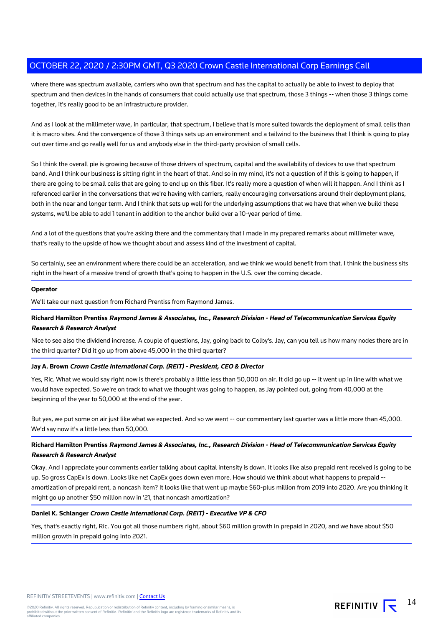where there was spectrum available, carriers who own that spectrum and has the capital to actually be able to invest to deploy that spectrum and then devices in the hands of consumers that could actually use that spectrum, those 3 things -- when those 3 things come together, it's really good to be an infrastructure provider.

And as I look at the millimeter wave, in particular, that spectrum, I believe that is more suited towards the deployment of small cells than it is macro sites. And the convergence of those 3 things sets up an environment and a tailwind to the business that I think is going to play out over time and go really well for us and anybody else in the third-party provision of small cells.

So I think the overall pie is growing because of those drivers of spectrum, capital and the availability of devices to use that spectrum band. And I think our business is sitting right in the heart of that. And so in my mind, it's not a question of if this is going to happen, if there are going to be small cells that are going to end up on this fiber. It's really more a question of when will it happen. And I think as I referenced earlier in the conversations that we're having with carriers, really encouraging conversations around their deployment plans, both in the near and longer term. And I think that sets up well for the underlying assumptions that we have that when we build these systems, we'll be able to add 1 tenant in addition to the anchor build over a 10-year period of time.

And a lot of the questions that you're asking there and the commentary that I made in my prepared remarks about millimeter wave, that's really to the upside of how we thought about and assess kind of the investment of capital.

So certainly, see an environment where there could be an acceleration, and we think we would benefit from that. I think the business sits right in the heart of a massive trend of growth that's going to happen in the U.S. over the coming decade.

## **Operator**

We'll take our next question from Richard Prentiss from Raymond James.

# **Richard Hamilton Prentiss Raymond James & Associates, Inc., Research Division - Head of Telecommunication Services Equity Research & Research Analyst**

Nice to see also the dividend increase. A couple of questions, Jay, going back to Colby's. Jay, can you tell us how many nodes there are in the third quarter? Did it go up from above 45,000 in the third quarter?

# **Jay A. Brown Crown Castle International Corp. (REIT) - President, CEO & Director**

Yes, Ric. What we would say right now is there's probably a little less than 50,000 on air. It did go up -- it went up in line with what we would have expected. So we're on track to what we thought was going to happen, as Jay pointed out, going from 40,000 at the beginning of the year to 50,000 at the end of the year.

But yes, we put some on air just like what we expected. And so we went -- our commentary last quarter was a little more than 45,000. We'd say now it's a little less than 50,000.

# **Richard Hamilton Prentiss Raymond James & Associates, Inc., Research Division - Head of Telecommunication Services Equity Research & Research Analyst**

Okay. And I appreciate your comments earlier talking about capital intensity is down. It looks like also prepaid rent received is going to be up. So gross CapEx is down. Looks like net CapEx goes down even more. How should we think about what happens to prepaid - amortization of prepaid rent, a noncash item? It looks like that went up maybe \$60-plus million from 2019 into 2020. Are you thinking it might go up another \$50 million now in '21, that noncash amortization?

# **Daniel K. Schlanger Crown Castle International Corp. (REIT) - Executive VP & CFO**

Yes, that's exactly right, Ric. You got all those numbers right, about \$60 million growth in prepaid in 2020, and we have about \$50 million growth in prepaid going into 2021.

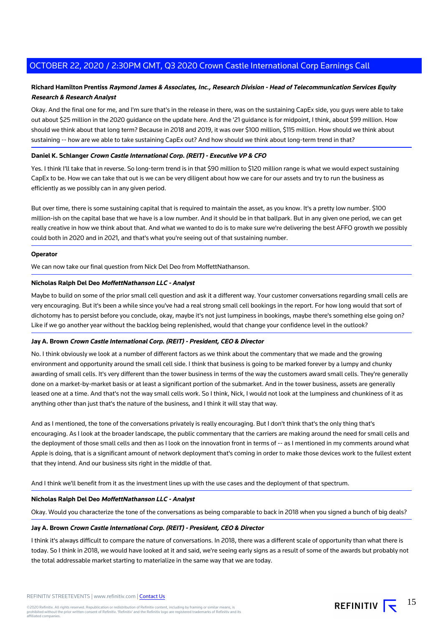# **Richard Hamilton Prentiss Raymond James & Associates, Inc., Research Division - Head of Telecommunication Services Equity Research & Research Analyst**

Okay. And the final one for me, and I'm sure that's in the release in there, was on the sustaining CapEx side, you guys were able to take out about \$25 million in the 2020 guidance on the update here. And the '21 guidance is for midpoint, I think, about \$99 million. How should we think about that long term? Because in 2018 and 2019, it was over \$100 million, \$115 million. How should we think about sustaining -- how are we able to take sustaining CapEx out? And how should we think about long-term trend in that?

# **Daniel K. Schlanger Crown Castle International Corp. (REIT) - Executive VP & CFO**

Yes. I think I'll take that in reverse. So long-term trend is in that \$90 million to \$120 million range is what we would expect sustaining CapEx to be. How we can take that out is we can be very diligent about how we care for our assets and try to run the business as efficiently as we possibly can in any given period.

But over time, there is some sustaining capital that is required to maintain the asset, as you know. It's a pretty low number. \$100 million-ish on the capital base that we have is a low number. And it should be in that ballpark. But in any given one period, we can get really creative in how we think about that. And what we wanted to do is to make sure we're delivering the best AFFO growth we possibly could both in 2020 and in 2021, and that's what you're seeing out of that sustaining number.

## **Operator**

We can now take our final question from Nick Del Deo from MoffettNathanson.

## **Nicholas Ralph Del Deo MoffettNathanson LLC - Analyst**

Maybe to build on some of the prior small cell question and ask it a different way. Your customer conversations regarding small cells are very encouraging. But it's been a while since you've had a real strong small cell bookings in the report. For how long would that sort of dichotomy has to persist before you conclude, okay, maybe it's not just lumpiness in bookings, maybe there's something else going on? Like if we go another year without the backlog being replenished, would that change your confidence level in the outlook?

#### **Jay A. Brown Crown Castle International Corp. (REIT) - President, CEO & Director**

No. I think obviously we look at a number of different factors as we think about the commentary that we made and the growing environment and opportunity around the small cell side. I think that business is going to be marked forever by a lumpy and chunky awarding of small cells. It's very different than the tower business in terms of the way the customers award small cells. They're generally done on a market-by-market basis or at least a significant portion of the submarket. And in the tower business, assets are generally leased one at a time. And that's not the way small cells work. So I think, Nick, I would not look at the lumpiness and chunkiness of it as anything other than just that's the nature of the business, and I think it will stay that way.

And as I mentioned, the tone of the conversations privately is really encouraging. But I don't think that's the only thing that's encouraging. As I look at the broader landscape, the public commentary that the carriers are making around the need for small cells and the deployment of those small cells and then as I look on the innovation front in terms of -- as I mentioned in my comments around what Apple is doing, that is a significant amount of network deployment that's coming in order to make those devices work to the fullest extent that they intend. And our business sits right in the middle of that.

And I think we'll benefit from it as the investment lines up with the use cases and the deployment of that spectrum.

# **Nicholas Ralph Del Deo MoffettNathanson LLC - Analyst**

Okay. Would you characterize the tone of the conversations as being comparable to back in 2018 when you signed a bunch of big deals?

#### **Jay A. Brown Crown Castle International Corp. (REIT) - President, CEO & Director**

I think it's always difficult to compare the nature of conversations. In 2018, there was a different scale of opportunity than what there is today. So I think in 2018, we would have looked at it and said, we're seeing early signs as a result of some of the awards but probably not the total addressable market starting to materialize in the same way that we are today.